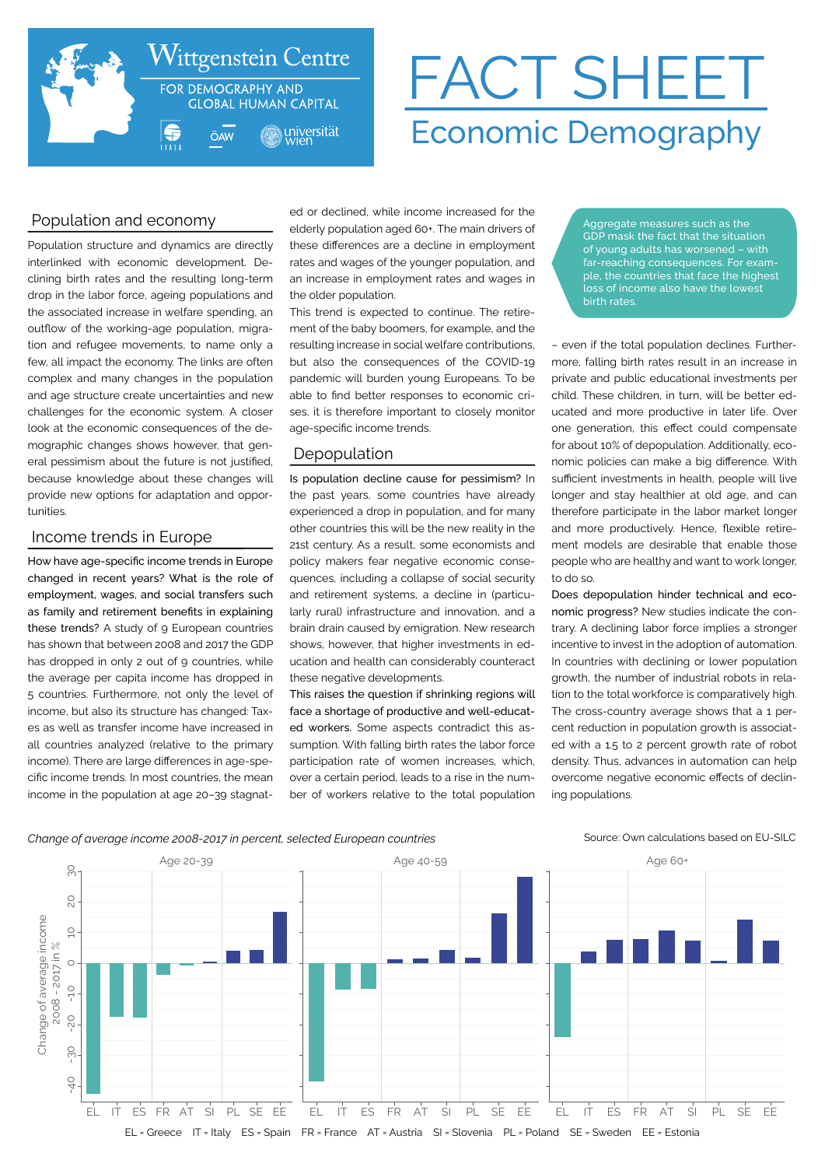

# FACT SHEET Economic Demography

# Population and economy

Population structure and dynamics are directly interlinked with economic development. Declining birth rates and the resulting long-term drop in the labor force, ageing populations and the associated increase in welfare spending, an outflow of the working-age population, migration and refugee movements, to name only a few, all impact the economy. The links are often complex and many changes in the population and age structure create uncertainties and new challenges for the economic system. A closer look at the economic consequences of the demographic changes shows however, that general pessimism about the future is not justified, because knowledge about these changes will provide new options for adaptation and opportunities.

# Income trends in Europe

How have age-specific income trends in Europe changed in recent years? What is the role of employment, wages, and social transfers such as family and retirement benefits in explaining these trends? A study of 9 European countries has shown that between 2008 and 2017 the GDP has dropped in only 2 out of 9 countries, while the average per capita income has dropped in 5 countries. Furthermore, not only the level of income, but also its structure has changed: Taxes as well as transfer income have increased in all countries analyzed (relative to the primary income). There are large differences in age-specific income trends. In most countries, the mean income in the population at age 20–39 stagnated or declined, while income increased for the elderly population aged 60+. The main drivers of these differences are a decline in employment rates and wages of the younger population, and an increase in employment rates and wages in the older population.

This trend is expected to continue. The retirement of the baby boomers, for example, and the resulting increase in social welfare contributions, but also the consequences of the COVID-19 pandemic will burden young Europeans. To be able to find better responses to economic crises, it is therefore important to closely monitor age-specific income trends.

# Depopulation

Is population decline cause for pessimism? In the past years, some countries have already experienced a drop in population, and for many other countries this will be the new reality in the 21st century. As a result, some economists and policy makers fear negative economic consequences, including a collapse of social security and retirement systems, a decline in (particularly rural) infrastructure and innovation, and a brain drain caused by emigration. New research shows, however, that higher investments in education and health can considerably counteract these negative developments.

This raises the question if shrinking regions will face a shortage of productive and well-educated workers. Some aspects contradict this assumption. With falling birth rates the labor force participation rate of women increases, which, over a certain period, leads to a rise in the number of workers relative to the total population

Aggregate measures such as the GDP mask the fact that the situation of young adults has worsened – with far-reaching consequences. For example, the countries that face the highest .<br>loss of income also have the lowest birth rates

– even if the total population declines. Furthermore, falling birth rates result in an increase in private and public educational investments per child. These children, in turn, will be better educated and more productive in later life. Over one generation, this effect could compensate for about 10% of depopulation. Additionally, economic policies can make a big difference. With sufficient investments in health, people will live longer and stay healthier at old age, and can therefore participate in the labor market longer and more productively. Hence, flexible retirement models are desirable that enable those people who are healthy and want to work longer, to do so.

Does depopulation hinder technical and economic progress? New studies indicate the contrary. A declining labor force implies a stronger incentive to invest in the adoption of automation. In countries with declining or lower population growth, the number of industrial robots in relation to the total workforce is comparatively high. The cross-country average shows that a 1 percent reduction in population growth is associated with a 1.5 to 2 percent growth rate of robot density. Thus, advances in automation can help overcome negative economic effects of declining populations.